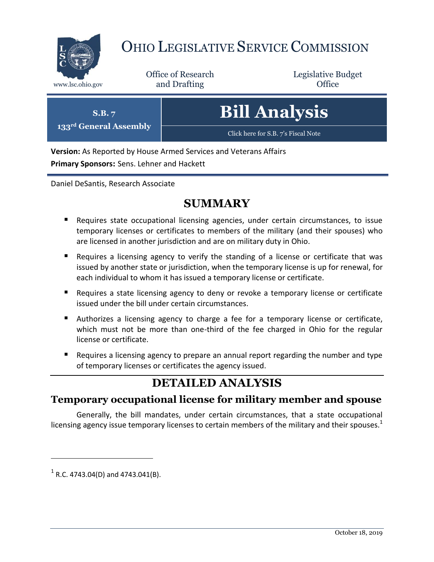

# OHIO LEGISLATIVE SERVICE COMMISSION

Office of Research www.lsc.ohio.gov and Drafting Control of Control of the Control of Control of the Control of Control of the Control of the Control of the Control of the Control of the Control of the Control of the Control of the Control o

Legislative Budget

| $\mathbf{S}.\mathbf{B}.\mathbf{7}$<br>133 <sup>rd</sup> General Assembly | <b>Bill Analysis</b>                |
|--------------------------------------------------------------------------|-------------------------------------|
|                                                                          | Click here for S.B. 7's Fiscal Note |

**Version:** As Reported by House Armed Services and Veterans Affairs

**Primary Sponsors:** Sens. Lehner and Hackett

Daniel DeSantis, Research Associate

## **SUMMARY**

- Requires state occupational licensing agencies, under certain circumstances, to issue temporary licenses or certificates to members of the military (and their spouses) who are licensed in another jurisdiction and are on military duty in Ohio.
- Requires a licensing agency to verify the standing of a license or certificate that was issued by another state or jurisdiction, when the temporary license is up for renewal, for each individual to whom it has issued a temporary license or certificate.
- **Requires a state licensing agency to deny or revoke a temporary license or certificate** issued under the bill under certain circumstances.
- Authorizes a licensing agency to charge a fee for a temporary license or certificate, which must not be more than one-third of the fee charged in Ohio for the regular license or certificate.
- **Requires a licensing agency to prepare an annual report regarding the number and type** of temporary licenses or certificates the agency issued.

# **DETAILED ANALYSIS**

#### **Temporary occupational license for military member and spouse**

Generally, the bill mandates, under certain circumstances, that a state occupational licensing agency issue temporary licenses to certain members of the military and their spouses.<sup>1</sup>

 $1$  R.C. 4743.04(D) and 4743.041(B).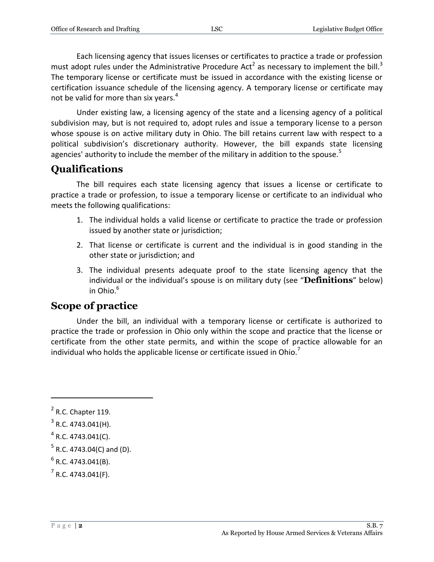Each licensing agency that issues licenses or certificates to practice a trade or profession must adopt rules under the Administrative Procedure Act<sup>2</sup> as necessary to implement the bill.<sup>3</sup> The temporary license or certificate must be issued in accordance with the existing license or certification issuance schedule of the licensing agency. A temporary license or certificate may not be valid for more than six years.<sup>4</sup>

Under existing law, a licensing agency of the state and a licensing agency of a political subdivision may, but is not required to, adopt rules and issue a temporary license to a person whose spouse is on active military duty in Ohio. The bill retains current law with respect to a political subdivision's discretionary authority. However, the bill expands state licensing agencies' authority to include the member of the military in addition to the spouse.<sup>5</sup>

# **Qualifications**

The bill requires each state licensing agency that issues a license or certificate to practice a trade or profession, to issue a temporary license or certificate to an individual who meets the following qualifications:

- 1. The individual holds a valid license or certificate to practice the trade or profession issued by another state or jurisdiction;
- 2. That license or certificate is current and the individual is in good standing in the other state or jurisdiction; and
- 3. The individual presents adequate proof to the state licensing agency that the individual or the individual's spouse is on military duty (see "**Definitions**" below) in Ohio. 6

### **Scope of practice**

Under the bill, an individual with a temporary license or certificate is authorized to practice the trade or profession in Ohio only within the scope and practice that the license or certificate from the other state permits, and within the scope of practice allowable for an individual who holds the applicable license or certificate issued in Ohio.<sup>7</sup>

 $<sup>2</sup>$  R.C. Chapter 119.</sup>

 $3$  R.C. 4743.041(H).

 $4$  R.C. 4743.041(C).

 $<sup>5</sup>$  R.C. 4743.04(C) and (D).</sup>

 $<sup>6</sup>$  R.C. 4743.041(B).</sup>

 $7$  R.C. 4743.041(F).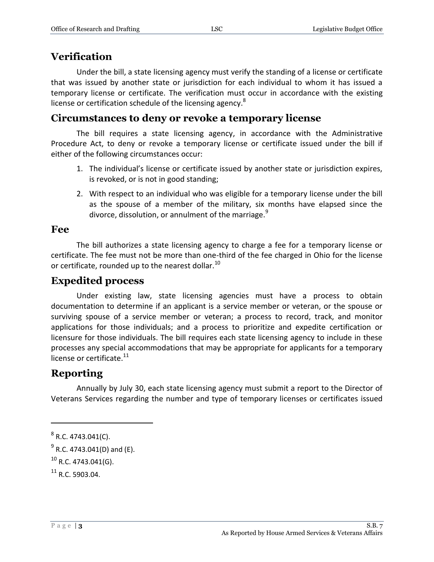#### **Verification**

Under the bill, a state licensing agency must verify the standing of a license or certificate that was issued by another state or jurisdiction for each individual to whom it has issued a temporary license or certificate. The verification must occur in accordance with the existing license or certification schedule of the licensing agency.<sup>8</sup>

#### **Circumstances to deny or revoke a temporary license**

The bill requires a state licensing agency, in accordance with the Administrative Procedure Act, to deny or revoke a temporary license or certificate issued under the bill if either of the following circumstances occur:

- 1. The individual's license or certificate issued by another state or jurisdiction expires, is revoked, or is not in good standing;
- 2. With respect to an individual who was eligible for a temporary license under the bill as the spouse of a member of the military, six months have elapsed since the divorce, dissolution, or annulment of the marriage.<sup>9</sup>

#### **Fee**

The bill authorizes a state licensing agency to charge a fee for a temporary license or certificate. The fee must not be more than one-third of the fee charged in Ohio for the license or certificate, rounded up to the nearest dollar.<sup>10</sup>

### **Expedited process**

Under existing law, state licensing agencies must have a process to obtain documentation to determine if an applicant is a service member or veteran, or the spouse or surviving spouse of a service member or veteran; a process to record, track, and monitor applications for those individuals; and a process to prioritize and expedite certification or licensure for those individuals. The bill requires each state licensing agency to include in these processes any special accommodations that may be appropriate for applicants for a temporary license or certificate.<sup>11</sup>

### **Reporting**

Annually by July 30, each state licensing agency must submit a report to the Director of Veterans Services regarding the number and type of temporary licenses or certificates issued

 $8$  R.C. 4743.041(C).

 $^{9}$  R.C. 4743.041(D) and (E).

 $^{10}$  R.C. 4743.041(G).

 $11$  R.C. 5903.04.